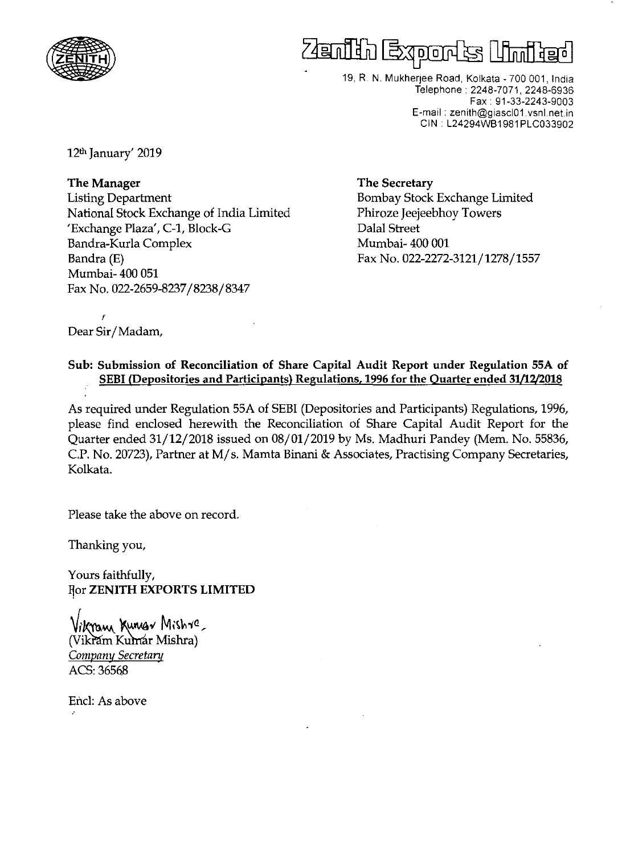

## fter film <u>Joja lu</u>

19, R. N. Mukherjee Road, Kolkata - 700 001, India Telephone. 2248-7071, 2248-6936 Fax. 91-33-2243-9003 E-mail. zenith@giascl01.vsnLnetin GIN. L24294WB1981 PLG033902

12th January' 2019

The Manager Listing Department National Stock Exchange of India Limited 'Exchange Plaza', C-1, Block-G Bandra-Kurla Complex Bandra (E) Mumbai- 400 051 Fax No. 022-2659-8237/8238/8347

The Secretary Bombay Stock Exchange Limited Phiroze Jeejeebhoy Towers Dalal Street Mumbai- 400 001 Fax No. 022-2272-3121/1278/1557

 $\mathbf{y}$ Dear Sir/Madam,

## Sub: Submission of Reconciliation of Share Capital Audit Report under Regulation 55A of SEBI (Depositories and Participants) Regulations, 1996 for the Quarter ended 31/12/2018

As required under Regulation 55A of SEBI (Depositories and Participants) Regulations, 1996, please find enclosed herewith the Reconciliation of Share Capital Audit Report for the Quarter ended 31/12/2018 issued on 08/01/2019 by Ms. Madhuri Pandey (Mem. No. 55836, c.P. No. 20723), Partner at M/ s. Mamta Binani & Associates, Practising Company Secretaries, Kolkata.

Please take the above on record.

Thanking you,

Yours faithfully, For ZENITH EXPORTS LIMITED

Vikram Kumar Mishre, (Vikram Kumar Mishra) *Company Secretary ACS:3656B* 

Encl: As above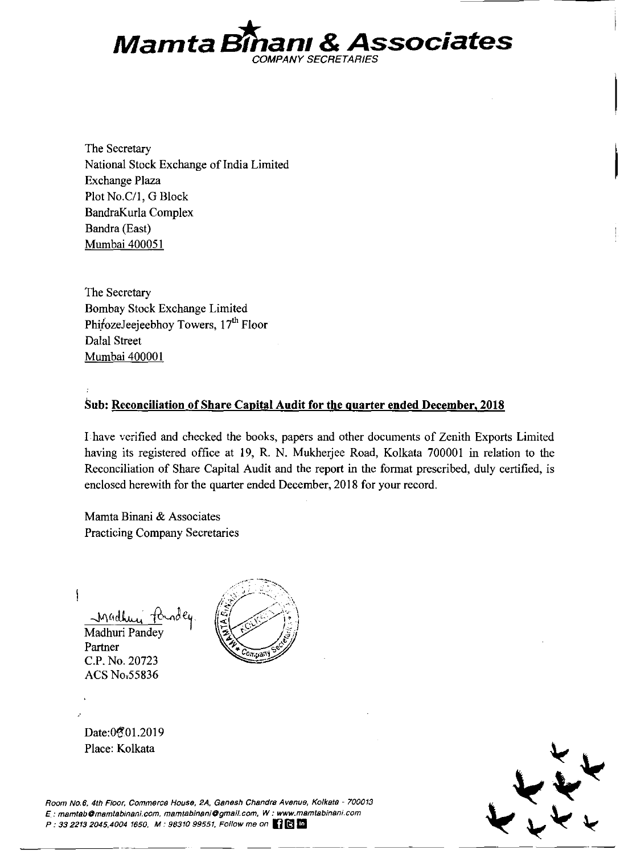

The Secretary National Stock Exchange of India Limited Exchange Plaza Plot No.C/1, G Block BandraKurla Complex Bandra (East) Mumbai 400051

The Secretary Bombay Stock Exchange Limited PhirozeJeejeebhoy Towers,  $17<sup>th</sup>$  Floor Dalal Street Mumbai 400001

## **Sub: Reconciliation of Share Capital Audit for the quarter ended December, 2018**

I have verified and checked the books, papers and other documents of Zenith Exports Limited having its registered office at 19, R. N. Mukherjee Road, Kolkata 700001 in relation to the Reconciliation of Share Capital Audit and the report in the format prescribed, duly certified, is enclosed herewith for the quarter ended December, 2018 for your record.

Mamta Binani & Associates Practicing Company Secretaries

 $\big\}$ 

 $M$ <sup>4</sup>dhu Madhuri Pandey Partner

C.P. No. 20723 ACS No,55836



Date:0201.2019 Place: Kolkata



**Room No.6, 4th Floor, Commerce House, 2A, Ganesh Chandra Avenue, Kofkata - 700013**  *E.:* **mamtabOmamtabinani.com, mamtBbinani@gmail.com, W: www.msmtabinani.com**  P: 33 2213 2045,4004 1650, M: 98310 99551, Follow me on **(2) B**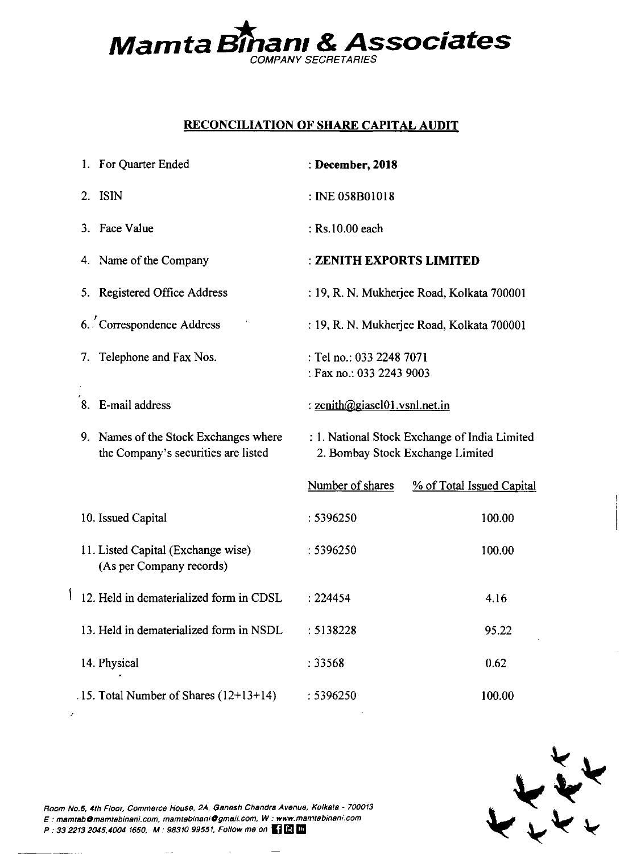

## **RECONCILIATION OF SHARE CAPITAL AUDIT**

|    | 1. For Quarter Ended                                                         | : December, 2018                                                                  |                                            |  |  |
|----|------------------------------------------------------------------------------|-----------------------------------------------------------------------------------|--------------------------------------------|--|--|
| 2. | ISIN                                                                         | : INE 058B01018                                                                   |                                            |  |  |
|    | 3. Face Value                                                                | : Rs.10.00 each                                                                   |                                            |  |  |
|    | 4. Name of the Company                                                       | : ZENITH EXPORTS LIMITED                                                          |                                            |  |  |
|    | 5. Registered Office Address                                                 |                                                                                   | : 19, R. N. Mukherjee Road, Kolkata 700001 |  |  |
|    | 6. Correspondence Address                                                    |                                                                                   | : 19, R. N. Mukherjee Road, Kolkata 700001 |  |  |
| 7. | Telephone and Fax Nos.                                                       | : Tel no.: 033 2248 7071<br>: Fax no.: 033 2243 9003                              |                                            |  |  |
|    | 8. E-mail address                                                            | : zenith@giascl01.vsnl.net.in                                                     |                                            |  |  |
|    | 9. Names of the Stock Exchanges where<br>the Company's securities are listed | : 1. National Stock Exchange of India Limited<br>2. Bombay Stock Exchange Limited |                                            |  |  |
|    |                                                                              | Number of shares                                                                  | % of Total Issued Capital                  |  |  |
|    | 10. Issued Capital                                                           | : 5396250                                                                         | 100.00                                     |  |  |
|    | 11. Listed Capital (Exchange wise)<br>(As per Company records)               | : 5396250                                                                         | 100.00                                     |  |  |
|    | 12. Held in dematerialized form in CDSL                                      | : 224454                                                                          | 4.16                                       |  |  |
|    | 13. Held in dematerialized form in NSDL                                      | : 5138228                                                                         | 95.22                                      |  |  |
|    | 14. Physical                                                                 | :33568                                                                            | 0.62                                       |  |  |
|    | .15. Total Number of Shares (12+13+14)                                       | : 5396250                                                                         | 100.00                                     |  |  |



**Room No.6, 4th Floor, Commerce House, 2A, Gsnssh Chandrs Avenue, Kolkata - 700013**  E: **msmtsbOmamtabinsni.com. msmtsbinsniOgmsil.com, W: www.msmtsbinsni.com**  P: 33 2213 2045,4004 1650, M: 98310 99551, Follow me on  $\blacksquare$ 

 $\left\{ \right.$ 

 $\hat{\mathcal{L}}$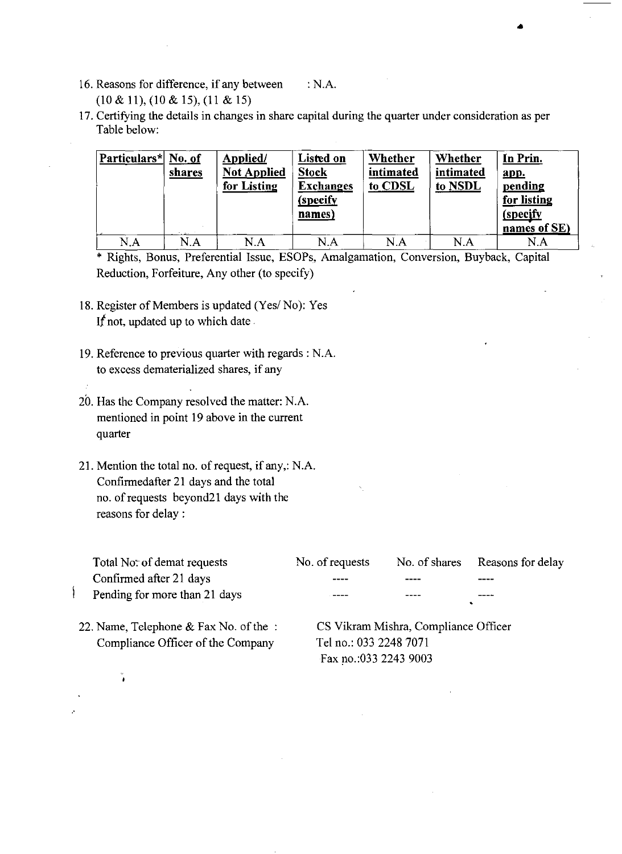- 16. Reasons for difference, if any between (10 & 11), (10 & 15), (11 & 15) :N.A.
- 17. Certifying the details in changes in share capital during the quarter under consideration as per Table below:

| Particulars* No. of | shares<br>To design | Applied/<br><b>Not Applied</b><br>for Listing | Listed on<br><b>Stock</b><br><b>Exchanges</b><br>(specify<br>names) | Whether<br>intimated<br>to CDSL | Whether<br>intimated<br>to NSDL | In Prin.<br>app.<br>pending<br>for listing<br><i>(specify)</i><br>names of SE) |
|---------------------|---------------------|-----------------------------------------------|---------------------------------------------------------------------|---------------------------------|---------------------------------|--------------------------------------------------------------------------------|
| $\rm N.A$           | N.A                 | $\rm N.A$                                     | N.A                                                                 | N.A                             | N.A                             | N.A                                                                            |

•

\* Rights, Bonus, Preferential Issue, ESOPs, Amalgamation, Conversion, Buyback, Capital Reduction, Forfeiture. Any other (to specify)

- 18. Register of Members is updated (Yes/No): Yes *If* not, updated up to which date.
- 19. Reference to previous quarter with regards: N.A. to excess dematerialized shares, if any
- 20. Has the Company resolved the matter: N.A. mentioned in point 19 above in the current quarter
- 21. Mention the total no. of request, if any,: N.A. Confirmedafter 21 days and the total no. of requests beyond21 days with the reasons for delay:

| Total No: of demat requests   | No. of requests |      | No. of shares Reasons for delay |
|-------------------------------|-----------------|------|---------------------------------|
| Confirmed after 21 days       | ----            | ---- | ----                            |
| Pending for more than 21 days | -----           | ---- | ----                            |

22. Name, Telephone & Fax No. of the Compliance Officer of the Company

 $\overline{\mathfrak{h}}$ 

CS Vikram Mishra, Compliance Officer Tel no.: 033 2248 7071 Fax *p.o.:033* 2243 9003